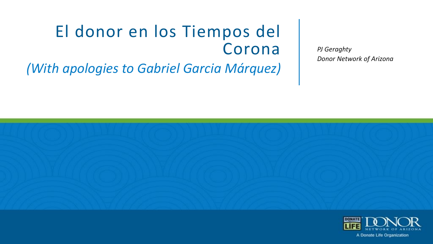#### El donor en los Tiempos del Corona *PJ Geraghty (With apologies to Gabriel Garcia Márquez)*

*Donor Network of Arizona*



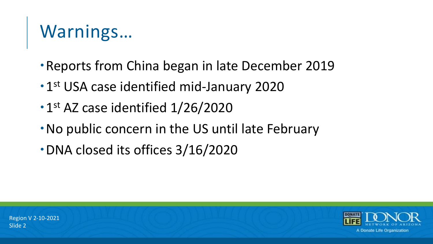## Warnings…

- Reports from China began in late December 2019
- 1st USA case identified mid-January 2020
- 1st AZ case identified 1/26/2020
- No public concern in the US until late February
- DNA closed its offices 3/16/2020

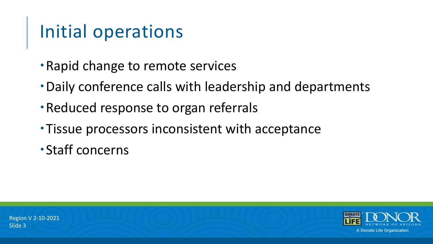### Initial operations

- Rapid change to remote services
- Daily conference calls with leadership and departments
- Reduced response to organ referrals
- Tissue processors inconsistent with acceptance
- Staff concerns

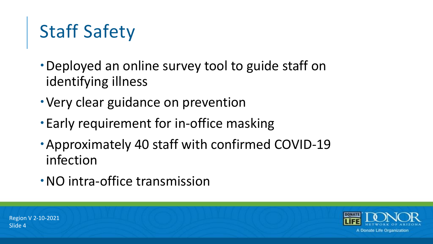# Staff Safety

- Deployed an online survey tool to guide staff on identifying illness
- Very clear guidance on prevention
- Early requirement for in-office masking
- Approximately 40 staff with confirmed COVID-19 infection
- NO intra-office transmission

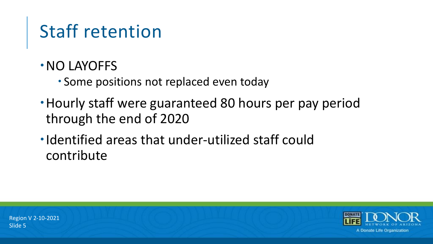## Staff retention

- NO LAYOFFS
	- Some positions not replaced even today
- Hourly staff were guaranteed 80 hours per pay period through the end of 2020
- Identified areas that under-utilized staff could contribute

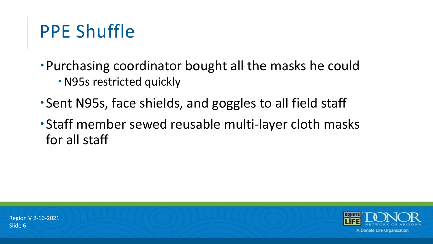### PPE Shuffle

- Purchasing coordinator bought all the masks he could
	- N95s restricted quickly
- Sent N95s, face shields, and goggles to all field staff
- Staff member sewed reusable multi-layer cloth masks for all staff

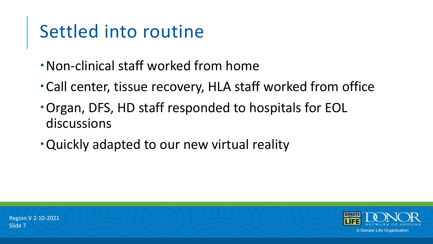### Settled into routine

- Non-clinical staff worked from home
- Call center, tissue recovery, HLA staff worked from office
- Organ, DFS, HD staff responded to hospitals for EOL discussions
- Quickly adapted to our new virtual reality

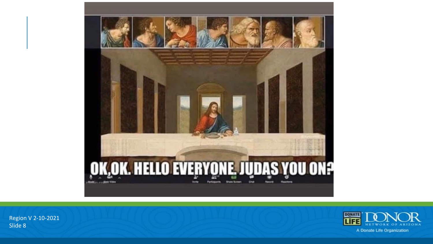

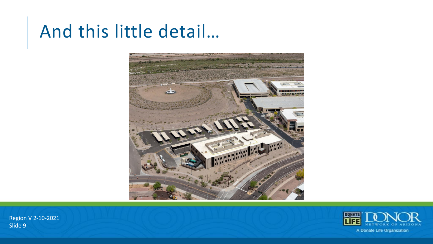#### And this little detail…



A Donate Life Organization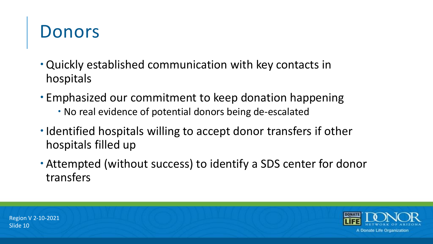### Donors

- Quickly established communication with key contacts in hospitals
- Emphasized our commitment to keep donation happening
	- No real evidence of potential donors being de-escalated
- Identified hospitals willing to accept donor transfers if other hospitals filled up
- Attempted (without success) to identify a SDS center for donor transfers

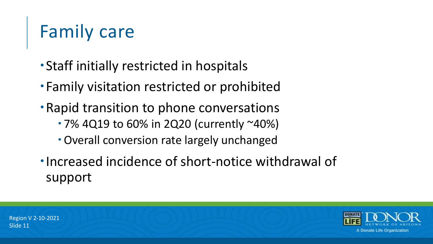## Family care

- Staff initially restricted in hospitals
- Family visitation restricted or prohibited
- Rapid transition to phone conversations
	- 7% 4Q19 to 60% in 2Q20 (currently ~40%)
	- Overall conversion rate largely unchanged
- Increased incidence of short-notice withdrawal of support

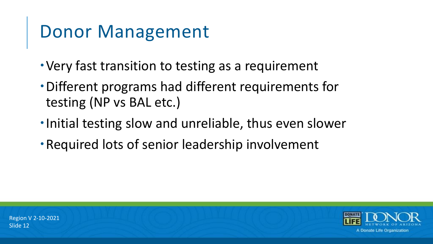#### Donor Management

- Very fast transition to testing as a requirement
- Different programs had different requirements for testing (NP vs BAL etc.)
- •Initial testing slow and unreliable, thus even slower
- Required lots of senior leadership involvement

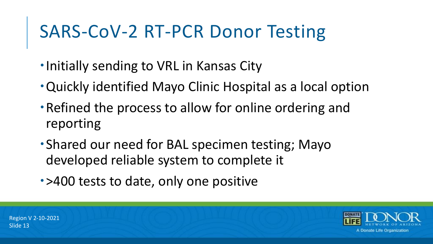#### SARS-CoV-2 RT-PCR Donor Testing

- **.** Initially sending to VRL in Kansas City
- Quickly identified Mayo Clinic Hospital as a local option
- Refined the process to allow for online ordering and reporting
- Shared our need for BAL specimen testing; Mayo developed reliable system to complete it
- >400 tests to date, only one positive

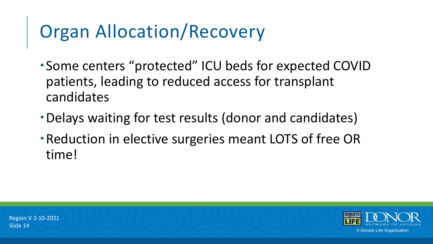### Organ Allocation/Recovery

- Some centers "protected" ICU beds for expected COVID patients, leading to reduced access for transplant candidates
- Delays waiting for test results (donor and candidates)
- Reduction in elective surgeries meant LOTS of free OR time!

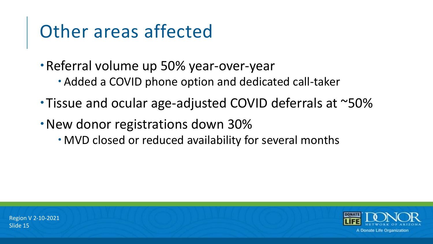#### Other areas affected

- Referral volume up 50% year-over-year
	- Added a COVID phone option and dedicated call-taker
- Tissue and ocular age-adjusted COVID deferrals at ~50%
- New donor registrations down 30%
	- MVD closed or reduced availability for several months

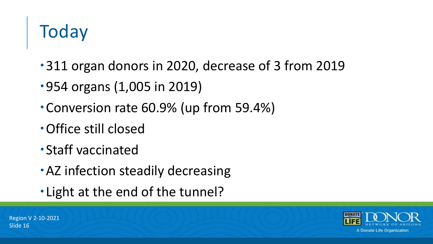# **Today**

- 311 organ donors in 2020, decrease of 3 from 2019
- 954 organs (1,005 in 2019)
- Conversion rate 60.9% (up from 59.4%)
- Office still closed
- Staff vaccinated
- AZ infection steadily decreasing
- Light at the end of the tunnel?